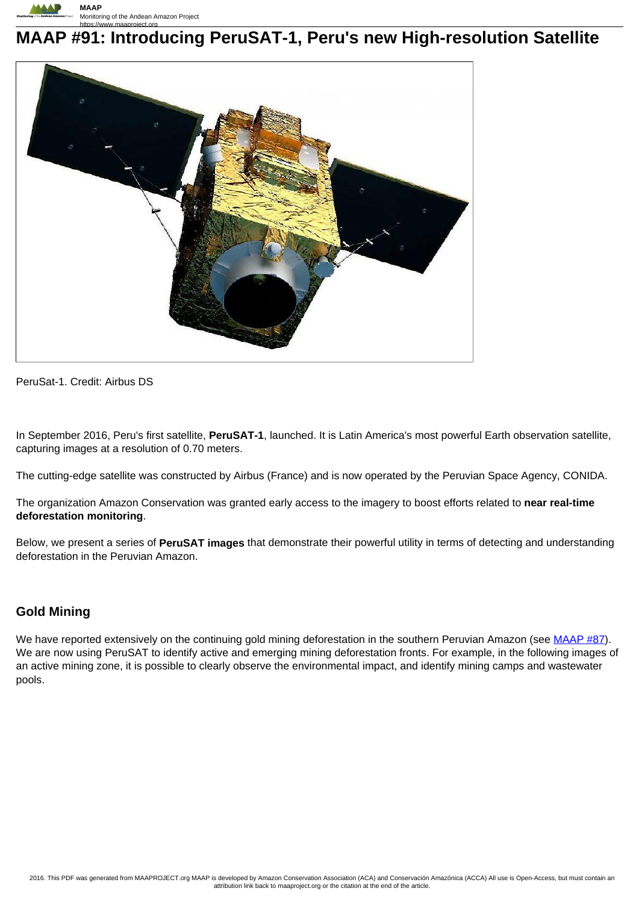

# **MAAP #91: Introducing PeruSAT-1, Peru's new High-resolution Satellite**



PeruSat-1. Credit: Airbus DS

In September 2016, Peru's first satellite, **PeruSAT-1**, launched. It is Latin America's most powerful Earth observation satellite, capturing images at a resolution of 0.70 meters.

The cutting-edge satellite was constructed by Airbus (France) and is now operated by the Peruvian Space Agency, CONIDA.

The organization Amazon Conservation was granted early access to the imagery to boost efforts related to **near real-time deforestation monitoring**.

Below, we present a series of **PeruSAT images** that demonstrate their powerful utility in terms of detecting and understanding deforestation in the Peruvian Amazon.

#### **Gold Mining**

We have reported extensively on the continuing gold mining deforestation in the southern Peruvian Amazon (see MAAP #87). We are now using PeruSAT to identify active and emerging mining deforestation fronts. For example, in the following images of an active mining zone, it is possible to clearly observe the environmental impact, and identify mining camps and wastewater pools.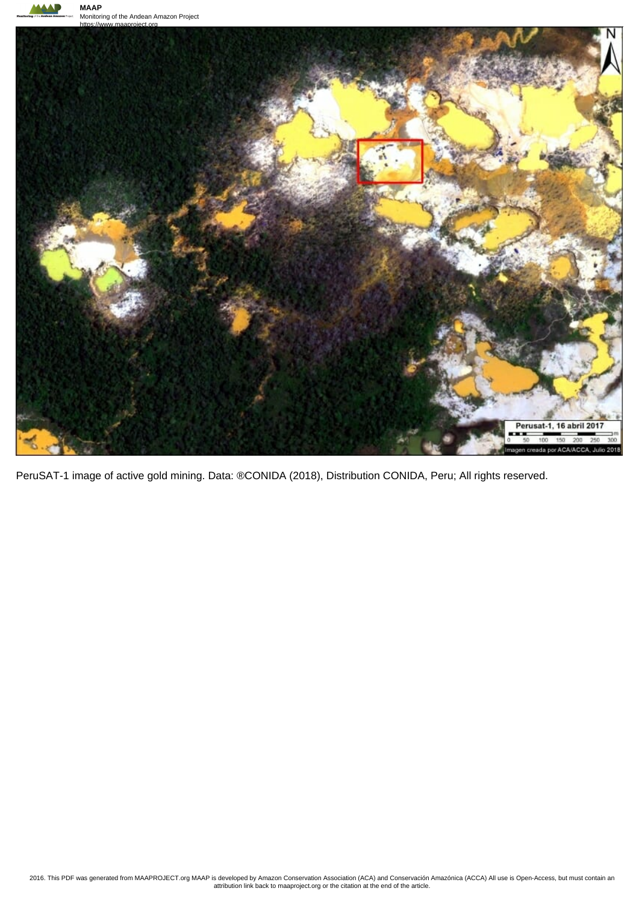



PeruSAT-1 image of active gold mining. Data: ®CONIDA (2018), Distribution CONIDA, Peru; All rights reserved.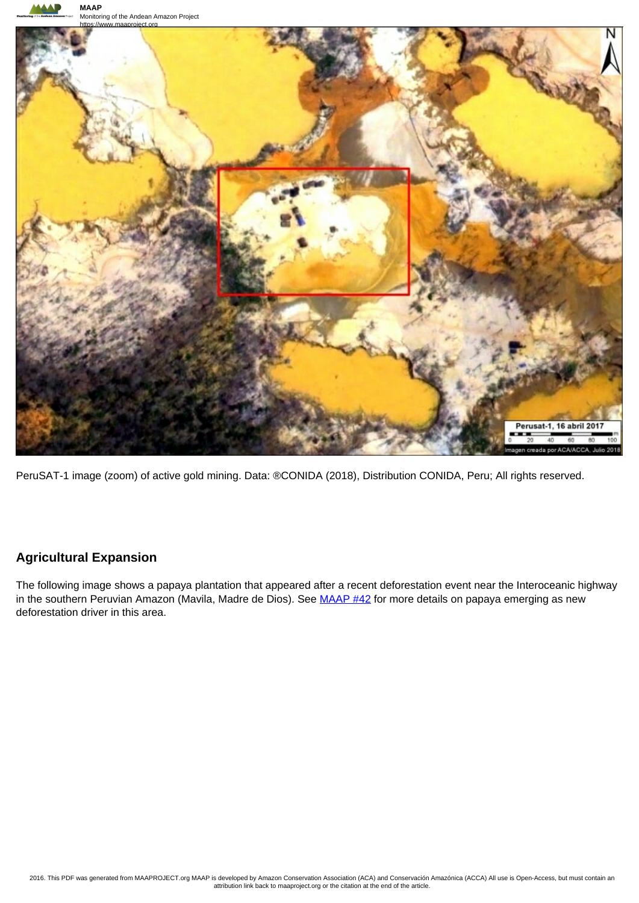

PeruSAT-1 image (zoom) of active gold mining. Data: ®CONIDA (2018), Distribution CONIDA, Peru; All rights reserved.

## **Agricultural Expansion**

The following image shows a papaya plantation that appeared after a recent deforestation event near the Interoceanic highway in the southern Peruvian Amazon (Mavila, Madre de Dios). See MAAP #42 for more details on papaya emerging as new deforestation driver in this area.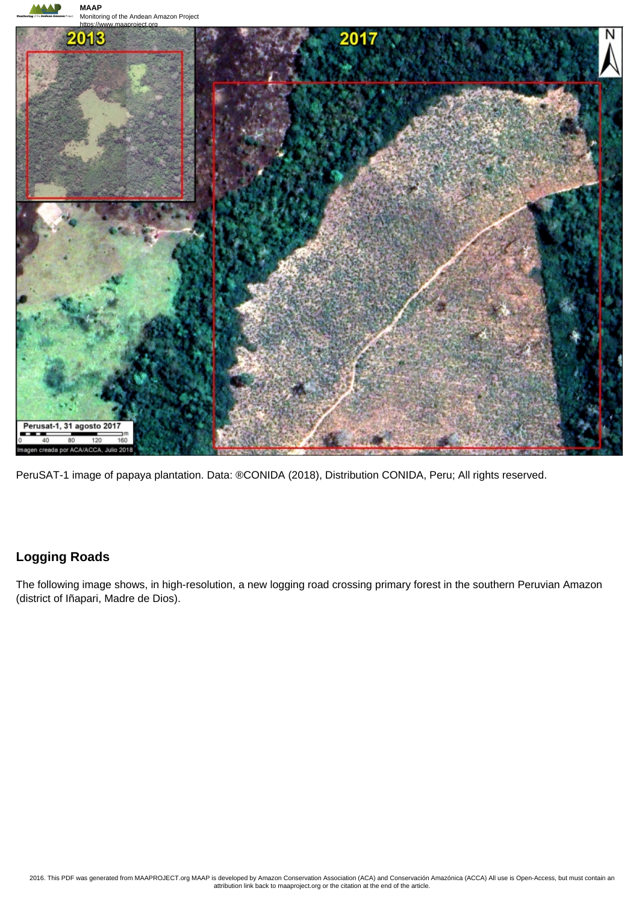

PeruSAT-1 image of papaya plantation. Data: ®CONIDA (2018), Distribution CONIDA, Peru; All rights reserved.

## **Logging Roads**

The following image shows, in high-resolution, a new logging road crossing primary forest in the southern Peruvian Amazon (district of Iñapari, Madre de Dios).